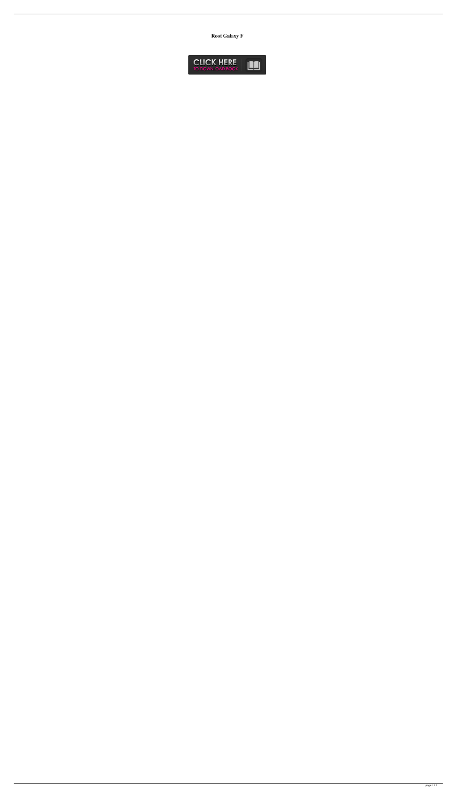**Root Galaxy F**